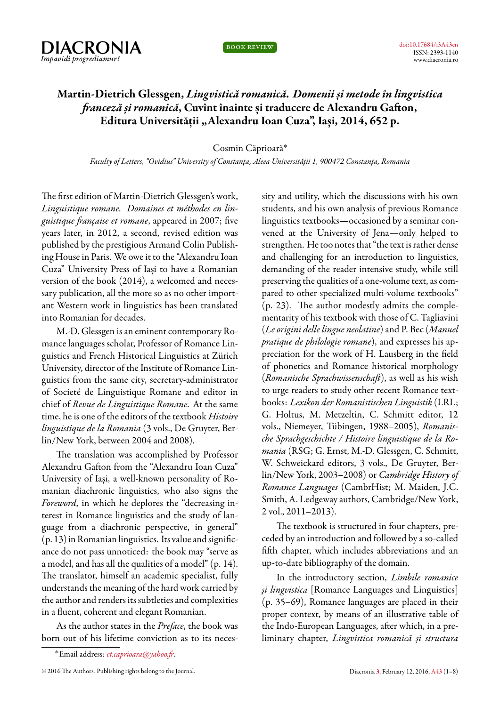

book review

## **Martin-Dietrich Glessgen,** *Lingvistică romanică. Domenii și metode în lingvistica franceză și romanică***, Cuvînt înainte și traducere de Alexandru Gafton, Editura Universității "Alexandru Ioan Cuza", Iași, 2014, 652 p.**

## Cosmin Căprioară˚

*Faculty of Letters, "Ovidius" University of Constanța, Aleea Universității 1, 900472 Constanța, Romania*

The first edition of Martin-Dietrich Glessgen's work, *Linguistique romane. Domaines et méthodes en linguistique française et romane*, appeared in 2007; five years later, in 2012, a second, revised edition was published by the prestigious Armand Colin Publishing House in Paris. We owe it to the "Alexandru Ioan Cuza" University Press of Iași to have a Romanian version of the book (2014), a welcomed and necessary publication, all the more so as no other important Western work in linguistics has been translated into Romanian for decades.

M.-D. Glessgen is an eminent contemporary Romance languages scholar, Professor of Romance Linguistics and French Historical Linguistics at Zürich University, director of the Institute of Romance Linguistics from the same city, secretary-administrator of Societé de Linguistique Romane and editor in chief of *Revue de Linguistique Romane*. At the same time, he is one of the editors of the textbook *Histoire linguistique de la Romania* (3 vols., De Gruyter, Berlin/New York, between 2004 and 2008).

The translation was accomplished by Professor Alexandru Gafton from the "Alexandru Ioan Cuza" University of Iași, a well-known personality of Romanian diachronic linguistics, who also signs the *Foreword*, in which he deplores the "decreasing interest in Romance linguistics and the study of language from a diachronic perspective, in general" (p. 13) in Romanian linguistics. Its value and significance do not pass unnoticed: the book may "serve as a model, and has all the qualities of a model" (p. 14). The translator, himself an academic specialist, fully understands the meaning of the hard work carried by the author and renders its subtleties and complexities in a fluent, coherent and elegant Romanian.

As the author states in the *Preface*, the book was born out of his lifetime conviction as to its necessity and utility, which the discussions with his own students, and his own analysis of previous Romance linguistics textbooks—occasioned by a seminar convened at the University of Jena—only helped to strengthen. He too notes that "the text is rather dense and challenging for an introduction to linguistics, demanding of the reader intensive study, while still preserving the qualities of a one-volume text, as compared to other specialized multi-volume textbooks" (p. 23). The author modestly admits the complementarity of his textbook with those of C. Tagliavini (*Le origini delle lingue neolatine*) and P. Bec (*Manuel pratique de philologie romane*), and expresses his appreciation for the work of H. Lausberg in the field of phonetics and Romance historical morphology (*Romanische Sprachwissenschaft*), as well as his wish to urge readers to study other recent Romance textbooks: *Lexikon der Romanistischen Linguistik* (LRL; G. Holtus, M. Metzeltin, C. Schmitt editor, 12 vols., Niemeyer, Tübingen, 1988–2005), *Romanische Sprachgeschichte / Histoire linguistique de la Romania* (RSG; G. Ernst, M.-D. Glessgen, C. Schmitt, W. Schweickard editors, 3 vols., De Gruyter, Berlin/New York, 2003–2008) or *Cambridge History of Romance Languages* (CambrHist; M. Maiden, J.C. Smith, A. Ledgeway authors, Cambridge/New York, 2 vol., 2011–2013).

The textbook is structured in four chapters, preceded by an introduction and followed by a so-called fifth chapter, which includes abbreviations and an up-to-date bibliography of the domain.

In the introductory section, *Limbile romanice și lingvistica* [Romance Languages and Linguistics] (p. 35–69), Romance languages are placed in their proper context, by means of an illustrative table of the Indo-European Languages, after which, in a preliminary chapter, *Lingvistica romanică și structura*

<sup>˚</sup>Email address: *[ct.caprioara@yahoo.fr](mailto:ct.caprioara@yahoo.fr)*.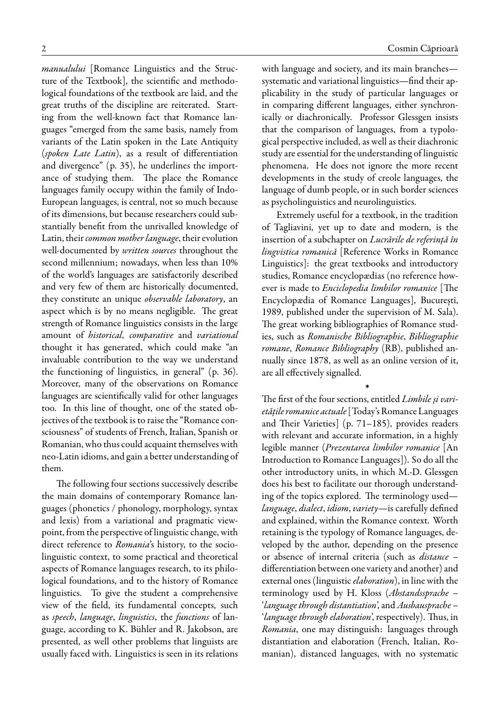*manualului* [Romance Linguistics and the Structure of the Textbook], the scientific and methodological foundations of the textbook are laid, and the great truths of the discipline are reiterated. Starting from the well-known fact that Romance languages "emerged from the same basis, namely from variants of the Latin spoken in the Late Antiquity (*spoken Late Latin*), as a result of differentiation and divergence" (p. 35), he underlines the importance of studying them. The place the Romance languages family occupy within the family of Indo-European languages, is central, not so much because of its dimensions, but because researchers could substantially benefit from the unrivalled knowledge of Latin, their*common mother language*, their evolution well-documented by *written sources* throughout the second millennium; nowadays, when less than 10% of the world's languages are satisfactorily described and very few of them are historically documented, they constitute an unique *observable laboratory*, an aspect which is by no means negligible. The great strength of Romance linguistics consists in the large amount of *historical*, *comparative* and *variational* thought it has generated, which could make "an invaluable contribution to the way we understand the functioning of linguistics, in general" (p. 36). Moreover, many of the observations on Romance languages are scientifically valid for other languages too. In this line of thought, one of the stated objectives of the textbook is to raise the "Romance consciousness" of students of French, Italian, Spanish or Romanian, who thus could acquaint themselves with neo-Latin idioms, and gain a better understanding of them.

The following four sections successively describe the main domains of contemporary Romance languages (phonetics / phonology, morphology, syntax and lexis) from a variational and pragmatic viewpoint, from the perspective of linguistic change, with direct reference to *Romania*'s history, to the sociolinguistic context, to some practical and theoretical aspects of Romance languages research, to its philological foundations, and to the history of Romance linguistics. To give the student a comprehensive view of the field, its fundamental concepts, such as *speech*, *language*, *linguistics*, the *functions* of language, according to K. Bühler and R. Jakobson, are presented, as well other problems that linguists are usually faced with. Linguistics is seen in its relations

with language and society, and its main branches systematic and variational linguistics—find their applicability in the study of particular languages or in comparing different languages, either synchronically or diachronically. Professor Glessgen insists that the comparison of languages, from a typological perspective included, as well as their diachronic study are essential for the understanding of linguistic phenomena. He does not ignore the more recent developments in the study of creole languages, the language of dumb people, or in such border sciences as psycholinguistics and neurolinguistics.

Extremely useful for a textbook, in the tradition of Tagliavini, yet up to date and modern, is the insertion of a subchapter on *Lucrările de referință în lingvistica romanică* [Reference Works in Romance Linguistics]: the great textbooks and introductory studies, Romance encyclopædias (no reference however is made to *Enciclopedia limbilor romanice* [The Encyclopædia of Romance Languages], București, 1989, published under the supervision of M. Sala). The great working bibliographies of Romance studies, such as *Romanische Bibliographie*, *Bibliographie romane*, *Romance Bibliography* (RB), published annually since 1878, as well as an online version of it, are all effectively signalled.

›

The first of the four sections, entitled *Limbile și varietățile romanice actuale*[Today's Romance Languages and Their Varieties] (p. 71–185), provides readers with relevant and accurate information, in a highly legible manner (*Prezentarea limbilor romanice* [An Introduction to Romance Languages]). So do all the other introductory units, in which M.-D. Glessgen does his best to facilitate our thorough understanding of the topics explored. The terminology used *language*, *dialect*, *idiom*, *variety*—is carefully defined and explained, within the Romance context. Worth retaining is the typology of Romance languages, developed by the author, depending on the presence or absence of internal criteria (such as *distance* – differentiation between one variety and another) and external ones (linguistic*elaboration*), in line with the terminology used by H. Kloss (*Abstandssprache* – '*language through distantiation*', and *Ausbausprache* – '*language through elaboration*', respectively). Thus, in *Romania*, one may distinguish: languages through distantiation and elaboration (French, Italian, Romanian), distanced languages, with no systematic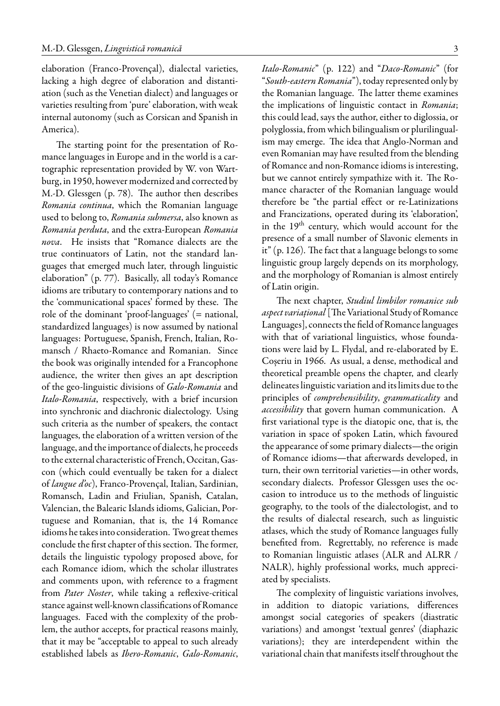elaboration (Franco-Provençal), dialectal varieties, lacking a high degree of elaboration and distantiation (such as the Venetian dialect) and languages or varieties resulting from 'pure' elaboration, with weak internal autonomy (such as Corsican and Spanish in America).

The starting point for the presentation of Romance languages in Europe and in the world is a cartographic representation provided by W. von Wartburg, in 1950, however modernized and corrected by M.-D. Glessgen (p. 78). The author then describes *Romania continua*, which the Romanian language used to belong to, *Romania submersa*, also known as *Romania perduta*, and the extra-European *Romania nova*. He insists that "Romance dialects are the true continuators of Latin, not the standard languages that emerged much later, through linguistic elaboration" (p. 77). Basically, all today's Romance idioms are tributary to contemporary nations and to the 'communicational spaces' formed by these. The role of the dominant 'proof-languages' (= national, standardized languages) is now assumed by national languages: Portuguese, Spanish, French, Italian, Romansch / Rhaeto-Romance and Romanian. Since the book was originally intended for a Francophone audience, the writer then gives an apt description of the geo-linguistic divisions of *Galo-Romania* and *Italo-Romania*, respectively, with a brief incursion into synchronic and diachronic dialectology. Using such criteria as the number of speakers, the contact languages, the elaboration of a written version of the language, and the importance of dialects, he proceeds to the external characteristic of French, Occitan, Gascon (which could eventually be taken for a dialect of *langue d'oc*), Franco-Provençal, Italian, Sardinian, Romansch, Ladin and Friulian, Spanish, Catalan, Valencian, the Balearic Islands idioms, Galician, Portuguese and Romanian, that is, the 14 Romance idioms he takes into consideration. Two great themes conclude the first chapter of this section. The former, details the linguistic typology proposed above, for each Romance idiom, which the scholar illustrates and comments upon, with reference to a fragment from *Pater Noster*, while taking a reflexive-critical stance against well-known classifications of Romance languages. Faced with the complexity of the problem, the author accepts, for practical reasons mainly, that it may be "acceptable to appeal to such already established labels as *Ibero-Romanic*, *Galo-Romanic*, *Italo-Romanic*" (p. 122) and "*Daco-Romanic*" (for "*South-eastern Romania*"), today represented only by the Romanian language. The latter theme examines the implications of linguistic contact in *Romania*; this could lead, says the author, either to diglossia, or polyglossia, from which bilingualism or plurilingualism may emerge. The idea that Anglo-Norman and even Romanian may have resulted from the blending of Romance and non-Romance idioms is interesting, but we cannot entirely sympathize with it. The Romance character of the Romanian language would therefore be "the partial effect or re-Latinizations and Francizations, operated during its 'elaboration', in the 19<sup>th</sup> century, which would account for the presence of a small number of Slavonic elements in it" (p. 126). The fact that a language belongs to some linguistic group largely depends on its morphology, and the morphology of Romanian is almost entirely of Latin origin.

The next chapter, *Studiul limbilor romanice sub aspect variațional* [The Variational Study of Romance Languages], connects the field of Romance languages with that of variational linguistics, whose foundations were laid by L. Flydal, and re-elaborated by E. Coșeriu in 1966. As usual, a dense, methodical and theoretical preamble opens the chapter, and clearly delineates linguistic variation and its limits due to the principles of *comprehensibility*, *grammaticality* and *accessibility* that govern human communication. A first variational type is the diatopic one, that is, the variation in space of spoken Latin, which favoured the appearance of some primary dialects—the origin of Romance idioms—that afterwards developed, in turn, their own territorial varieties—in other words, secondary dialects. Professor Glessgen uses the occasion to introduce us to the methods of linguistic geography, to the tools of the dialectologist, and to the results of dialectal research, such as linguistic atlases, which the study of Romance languages fully benefited from. Regrettably, no reference is made to Romanian linguistic atlases (ALR and ALRR / NALR), highly professional works, much appreciated by specialists.

The complexity of linguistic variations involves, in addition to diatopic variations, differences amongst social categories of speakers (diastratic variations) and amongst 'textual genres' (diaphazic variations); they are interdependent within the variational chain that manifests itself throughout the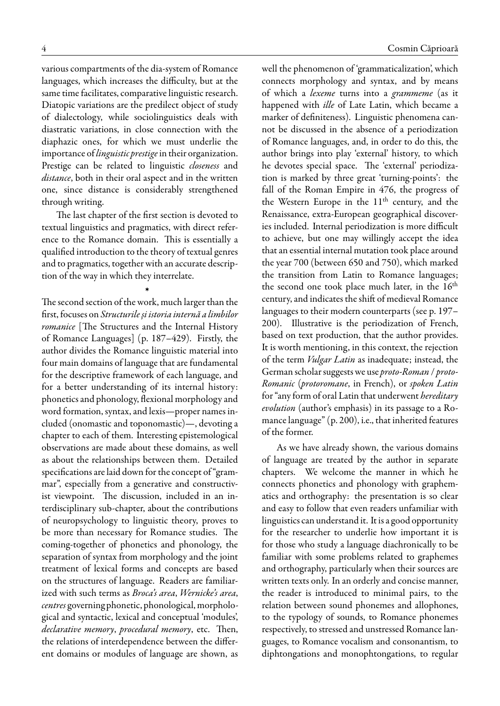various compartments of the dia-system of Romance languages, which increases the difficulty, but at the same time facilitates, comparative linguistic research. Diatopic variations are the predilect object of study of dialectology, while sociolinguistics deals with diastratic variations, in close connection with the diaphazic ones, for which we must underlie the importance of *linguistic prestige* in their organization. Prestige can be related to linguistic *closeness* and *distance*, both in their oral aspect and in the written one, since distance is considerably strengthened through writing.

The last chapter of the first section is devoted to textual linguistics and pragmatics, with direct reference to the Romance domain. This is essentially a qualified introduction to the theory of textual genres and to pragmatics, together with an accurate description of the way in which they interrelate.

›

The second section of the work, much larger than the first, focuses on *Structurile și istoria internă a limbilor romanice* [The Structures and the Internal History of Romance Languages] (p. 187–429). Firstly, the author divides the Romance linguistic material into four main domains of language that are fundamental for the descriptive framework of each language, and for a better understanding of its internal history: phonetics and phonology, flexional morphology and word formation, syntax, and lexis—proper names included (onomastic and toponomastic)—, devoting a chapter to each of them. Interesting epistemological observations are made about these domains, as well as about the relationships between them. Detailed specifications are laid down for the concept of "grammar", especially from a generative and constructivist viewpoint. The discussion, included in an interdisciplinary sub-chapter, about the contributions of neuropsychology to linguistic theory, proves to be more than necessary for Romance studies. The coming-together of phonetics and phonology, the separation of syntax from morphology and the joint treatment of lexical forms and concepts are based on the structures of language. Readers are familiarized with such terms as *Broca's area*, *Wernicke's area*, *centres* governing phonetic, phonological, morphological and syntactic, lexical and conceptual 'modules', *declarative memory*, *procedural memory*, etc. Then, the relations of interdependence between the different domains or modules of language are shown, as

well the phenomenon of 'grammaticalization', which connects morphology and syntax, and by means of which a *lexeme* turns into a *grammeme* (as it happened with *ille* of Late Latin, which became a marker of definiteness). Linguistic phenomena cannot be discussed in the absence of a periodization of Romance languages, and, in order to do this, the author brings into play 'external' history, to which he devotes special space. The 'external' periodization is marked by three great 'turning-points': the fall of the Roman Empire in 476, the progress of the Western Europe in the  $11<sup>th</sup>$  century, and the Renaissance, extra-European geographical discoveries included. Internal periodization is more difficult to achieve, but one may willingly accept the idea that an essential internal mutation took place around the year 700 (between 650 and 750), which marked the transition from Latin to Romance languages; the second one took place much later, in the  $16<sup>th</sup>$ century, and indicates the shift of medieval Romance languages to their modern counterparts (see p. 197– 200). Illustrative is the periodization of French, based on text production, that the author provides. It is worth mentioning, in this context, the rejection of the term *Vulgar Latin* as inadequate; instead, the German scholar suggests we use *proto-Roman* / *proto-Romanic* (*protoromane*, in French), or *spoken Latin* for "any form of oral Latin that underwent *hereditary evolution* (author's emphasis) in its passage to a Romance language" (p. 200), i.e., that inherited features of the former.

As we have already shown, the various domains of language are treated by the author in separate chapters. We welcome the manner in which he connects phonetics and phonology with graphematics and orthography: the presentation is so clear and easy to follow that even readers unfamiliar with linguistics can understand it. It is a good opportunity for the researcher to underlie how important it is for those who study a language diachronically to be familiar with some problems related to graphemes and orthography, particularly when their sources are written texts only. In an orderly and concise manner, the reader is introduced to minimal pairs, to the relation between sound phonemes and allophones, to the typology of sounds, to Romance phonemes respectively, to stressed and unstressed Romance languages, to Romance vocalism and consonantism, to diphtongations and monophtongations, to regular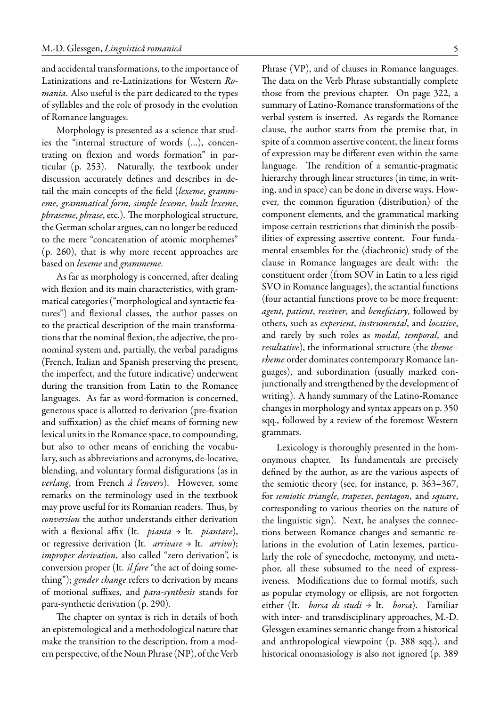and accidental transformations, to the importance of Latinizations and re-Latinizations for Western *Romania*. Also useful is the part dedicated to the types of syllables and the role of prosody in the evolution of Romance languages.

Morphology is presented as a science that studies the "internal structure of words (…), concentrating on flexion and words formation" in particular (p. 253). Naturally, the textbook under discussion accurately defines and describes in detail the main concepts of the field (*lexeme*, *grammeme*, *grammatical form*, *simple lexeme*, *built lexeme*, *phraseme*, *phrase*, etc.). The morphological structure, the German scholar argues, can no longer be reduced to the mere "concatenation of atomic morphemes" (p. 260), that is why more recent approaches are based on *lexeme* and *grammeme*.

As far as morphology is concerned, after dealing with flexion and its main characteristics, with grammatical categories ("morphological and syntactic features") and flexional classes, the author passes on to the practical description of the main transformations that the nominal flexion, the adjective, the pronominal system and, partially, the verbal paradigms (French, Italian and Spanish preserving the present, the imperfect, and the future indicative) underwent during the transition from Latin to the Romance languages. As far as word-formation is concerned, generous space is allotted to derivation (pre-fixation and suffixation) as the chief means of forming new lexical units in the Romance space, to compounding, but also to other means of enriching the vocabulary, such as abbreviations and acronyms, de-locative, blending, and voluntary formal disfigurations (as in *verlang*, from French *à l'envers*). However, some remarks on the terminology used in the textbook may prove useful for its Romanian readers. Thus, by *conversion* the author understands either derivation with a flexional affix (It. *pianta* → It. *piantare*), or regressive derivation (It. *arrivare* → It. *arrivo*); *improper derivation*, also called "zero derivation", is conversion proper (It. *il fare* "the act of doing something"); *gender change* refers to derivation by means of motional suffixes, and *para-synthesis* stands for para-synthetic derivation (p. 290).

The chapter on syntax is rich in details of both an epistemological and a methodological nature that make the transition to the description, from a modern perspective, of the Noun Phrase (NP), of the Verb Phrase (VP), and of clauses in Romance languages. The data on the Verb Phrase substantially complete those from the previous chapter. On page 322, a summary of Latino-Romance transformations of the verbal system is inserted. As regards the Romance clause, the author starts from the premise that, in spite of a common assertive content, the linear forms of expression may be different even within the same language. The rendition of a semantic-pragmatic hierarchy through linear structures (in time, in writing, and in space) can be done in diverse ways. However, the common figuration (distribution) of the component elements, and the grammatical marking impose certain restrictions that diminish the possibilities of expressing assertive content. Four fundamental ensembles for the (diachronic) study of the clause in Romance languages are dealt with: the constituent order (from SOV in Latin to a less rigid SVO in Romance languages), the actantial functions (four actantial functions prove to be more frequent: *agent*, *patient*, *receiver*, and *beneficiary*, followed by others, such as *experient*, *instrumental*, and *locative*, and rarely by such roles as *modal*, *temporal*, and *resultative*), the informational structure (the *theme– rheme* order dominates contemporary Romance languages), and subordination (usually marked conjunctionally and strengthened by the development of writing). A handy summary of the Latino-Romance changes in morphology and syntax appears on p. 350 sqq., followed by a review of the foremost Western grammars.

Lexicology is thoroughly presented in the homonymous chapter. Its fundamentals are precisely defined by the author, as are the various aspects of the semiotic theory (see, for instance, p. 363–367, for *semiotic triangle*, *trapezes*, *pentagon*, and *square*, corresponding to various theories on the nature of the linguistic sign). Next, he analyses the connections between Romance changes and semantic relations in the evolution of Latin lexemes, particularly the role of synecdoche, metonymy, and metaphor, all these subsumed to the need of expressiveness. Modifications due to formal motifs, such as popular etymology or ellipsis, are not forgotten either (It. *borsa di studi* → It. *borsa*). Familiar with inter- and transdisciplinary approaches, M.-D. Glessgen examines semantic change from a historical and anthropological viewpoint (p. 388 sqq.), and historical onomasiology is also not ignored (p. 389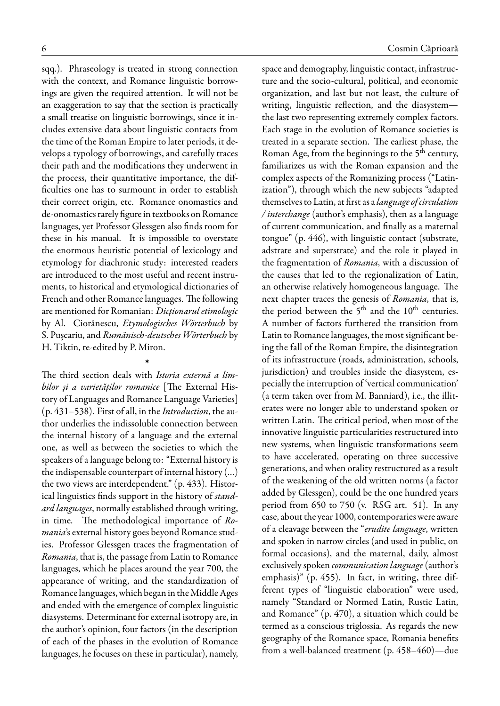sqq.). Phraseology is treated in strong connection with the context, and Romance linguistic borrowings are given the required attention. It will not be an exaggeration to say that the section is practically a small treatise on linguistic borrowings, since it includes extensive data about linguistic contacts from the time of the Roman Empire to later periods, it develops a typology of borrowings, and carefully traces their path and the modifications they underwent in the process, their quantitative importance, the difficulties one has to surmount in order to establish their correct origin, etc. Romance onomastics and de-onomastics rarely figure in textbooks on Romance languages, yet Professor Glessgen also finds room for these in his manual. It is impossible to overstate the enormous heuristic potential of lexicology and etymology for diachronic study: interested readers are introduced to the most useful and recent instruments, to historical and etymological dictionaries of French and other Romance languages. The following are mentioned for Romanian: *Dicționarul etimologic* by Al. Ciorănescu, *Etymologisches Wörterbuch* by S. Pușcariu, and *Rumänisch-deutsches Wörterbuch* by H. Tiktin, re-edited by P. Miron.

The third section deals with *Istoria externă a limbilor și a varietăților romanice* [The External History of Languages and Romance Language Varieties] (p. 431–538). First of all, in the*Introduction*, the author underlies the indissoluble connection between the internal history of a language and the external one, as well as between the societies to which the speakers of a language belong to: "External history is the indispensable counterpart of internal history (…) the two views are interdependent." (p. 433). Historical linguistics finds support in the history of *standard languages*, normally established through writing, in time. The methodological importance of *Romania*'s external history goes beyond Romance studies. Professor Glessgen traces the fragmentation of *Romania*, that is, the passage from Latin to Romance languages, which he places around the year 700, the appearance of writing, and the standardization of Romance languages, which began in the Middle Ages and ended with the emergence of complex linguistic diasystems. Determinant for external isotropy are, in the author's opinion, four factors (in the description of each of the phases in the evolution of Romance languages, he focuses on these in particular), namely,

›

space and demography, linguistic contact, infrastructure and the socio-cultural, political, and economic organization, and last but not least, the culture of writing, linguistic reflection, and the diasystem the last two representing extremely complex factors. Each stage in the evolution of Romance societies is treated in a separate section. The earliest phase, the Roman Age, from the beginnings to the 5<sup>th</sup> century, familiarizes us with the Roman expansion and the complex aspects of the Romanizing process ("Latinization"), through which the new subjects "adapted themselves to Latin, at first as a*language of circulation / interchange* (author's emphasis), then as a language of current communication, and finally as a maternal tongue" (p. 446), with linguistic contact (substrate, adstrate and superstrate) and the role it played in the fragmentation of *Romania*, with a discussion of the causes that led to the regionalization of Latin, an otherwise relatively homogeneous language. The next chapter traces the genesis of *Romania*, that is, the period between the 5<sup>th</sup> and the 10<sup>th</sup> centuries. A number of factors furthered the transition from Latin to Romance languages, the most significant being the fall of the Roman Empire, the disintegration of its infrastructure (roads, administration, schools, jurisdiction) and troubles inside the diasystem, especially the interruption of 'vertical communication' (a term taken over from M. Banniard), i.e., the illiterates were no longer able to understand spoken or written Latin. The critical period, when most of the innovative linguistic particularities restructured into new systems, when linguistic transformations seem to have accelerated, operating on three successive generations, and when orality restructured as a result of the weakening of the old written norms (a factor added by Glessgen), could be the one hundred years period from 650 to 750 (v. RSG art. 51). In any case, about the year 1000, contemporaries were aware of a cleavage between the "*erudite language*, written and spoken in narrow circles (and used in public, on formal occasions), and the maternal, daily, almost exclusively spoken *communication language* (author's emphasis)" (p. 455). In fact, in writing, three different types of "linguistic elaboration" were used, namely "Standard or Normed Latin, Rustic Latin, and Romance" (p. 470), a situation which could be termed as a conscious triglossia. As regards the new geography of the Romance space, Romania benefits from a well-balanced treatment (p. 458–460)—due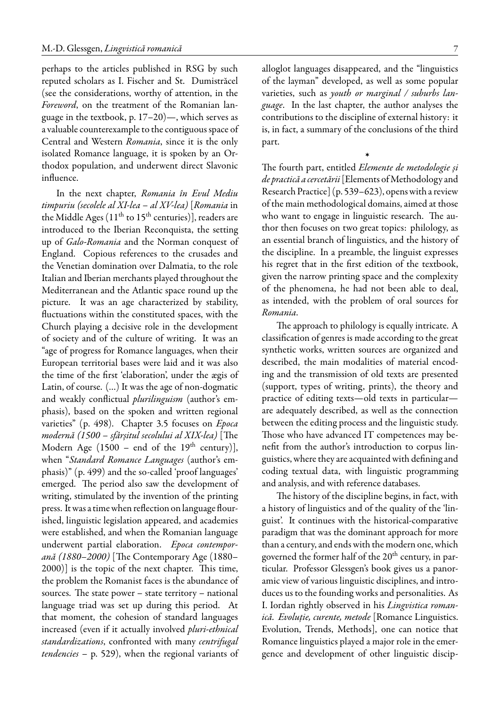perhaps to the articles published in RSG by such reputed scholars as I. Fischer and St. Dumistrăcel (see the considerations, worthy of attention, in the *Foreword*, on the treatment of the Romanian language in the textbook, p. 17–20)—, which serves as a valuable counterexample to the contiguous space of Central and Western *Romania*, since it is the only isolated Romance language, it is spoken by an Orthodox population, and underwent direct Slavonic influence.

In the next chapter, *Romania în Evul Mediu timpuriu (secolele al XI-lea – al XV-lea)* [*Romania* in the Middle Ages  $(11<sup>th</sup>$  to  $15<sup>th</sup>$  centuries)], readers are introduced to the Iberian Reconquista, the setting up of *Galo-Romania* and the Norman conquest of England. Copious references to the crusades and the Venetian domination over Dalmatia, to the role Italian and Iberian merchants played throughout the Mediterranean and the Atlantic space round up the picture. It was an age characterized by stability, fluctuations within the constituted spaces, with the Church playing a decisive role in the development of society and of the culture of writing. It was an "age of progress for Romance languages, when their European territorial bases were laid and it was also the time of the first 'elaboration', under the ægis of Latin, of course. (…) It was the age of non-dogmatic and weakly conflictual *plurilinguism* (author's emphasis), based on the spoken and written regional varieties" (p. 498). Chapter 3.5 focuses on *Epoca modernă (1500 – sfârșitul secolului al XIX-lea)* [The Modern Age (1500 – end of the 19<sup>th</sup> century)], when "*Standard Romance Languages* (author's emphasis)" (p. 499) and the so-called 'proof languages' emerged. The period also saw the development of writing, stimulated by the invention of the printing press. It was a time when reflection on language flourished, linguistic legislation appeared, and academies were established, and when the Romanian language underwent partial elaboration. *Epoca contemporană (1880–2000)* [The Contemporary Age (1880– 2000)] is the topic of the next chapter. This time, the problem the Romanist faces is the abundance of sources. The state power – state territory – national language triad was set up during this period. At that moment, the cohesion of standard languages increased (even if it actually involved *pluri-ethnical standardizations*, confronted with many *centrifugal tendencies* – p. 529), when the regional variants of alloglot languages disappeared, and the "linguistics of the layman" developed, as well as some popular varieties, such as *youth or marginal / suburbs language*. In the last chapter, the author analyses the contributions to the discipline of external history: it is, in fact, a summary of the conclusions of the third part.

›

The fourth part, entitled *Elemente de metodologie și de practică a cercetării*[Elements ofMethodology and Research Practice] (p. 539–623), opens with a review of the main methodological domains, aimed at those who want to engage in linguistic research. The author then focuses on two great topics: philology, as an essential branch of linguistics, and the history of the discipline. In a preamble, the linguist expresses his regret that in the first edition of the textbook, given the narrow printing space and the complexity of the phenomena, he had not been able to deal, as intended, with the problem of oral sources for *Romania*.

The approach to philology is equally intricate. A classification of genres is made according to the great synthetic works, written sources are organized and described, the main modalities of material encoding and the transmission of old texts are presented (support, types of writing, prints), the theory and practice of editing texts—old texts in particular are adequately described, as well as the connection between the editing process and the linguistic study. Those who have advanced IT competences may benefit from the author's introduction to corpus linguistics, where they are acquainted with defining and coding textual data, with linguistic programming and analysis, and with reference databases.

The history of the discipline begins, in fact, with a history of linguistics and of the quality of the 'linguist'. It continues with the historical-comparative paradigm that was the dominant approach for more than a century, and ends with the modern one, which governed the former half of the 20<sup>th</sup> century, in particular. Professor Glessgen's book gives us a panoramic view of various linguistic disciplines, and introduces us to the founding works and personalities. As I. Iordan rightly observed in his *Lingvistica romanică. Evoluție, curente, metode* [Romance Linguistics. Evolution, Trends, Methods], one can notice that Romance linguistics played a major role in the emergence and development of other linguistic discip